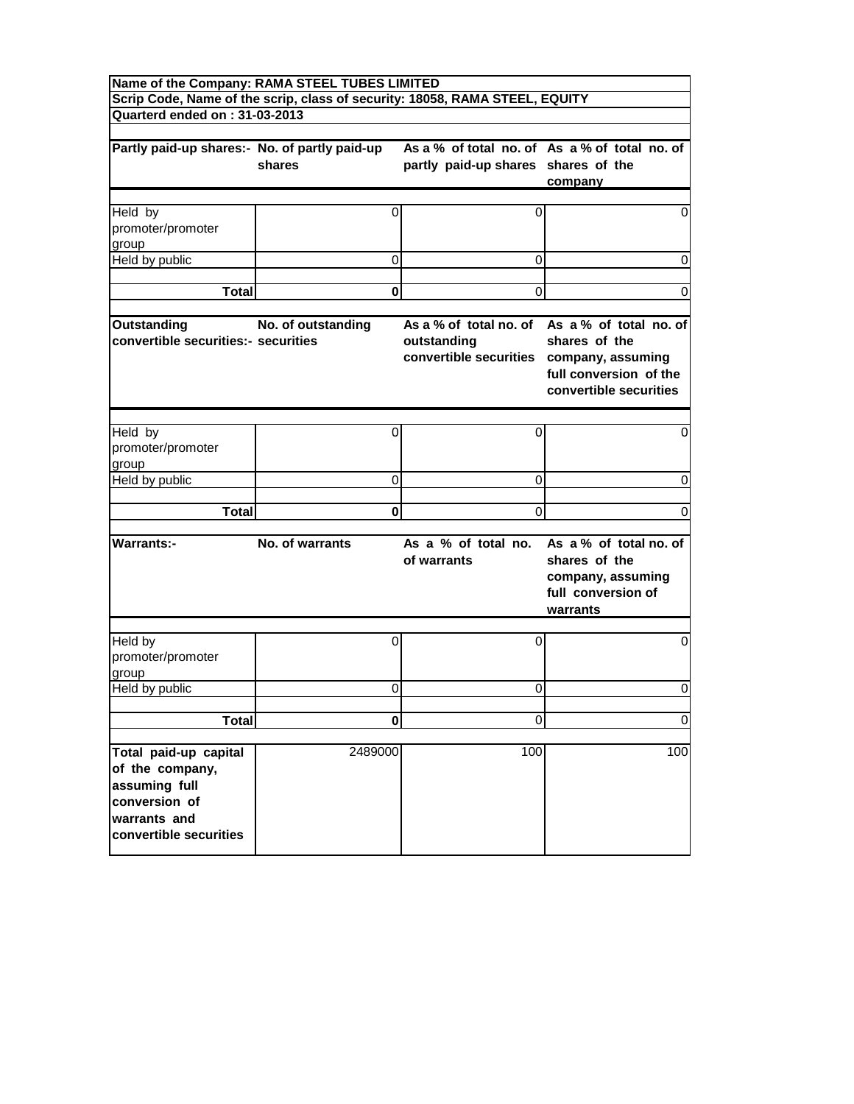| Name of the Company: RAMA STEEL TUBES LIMITED                                                                        |                    |                                                                                   |                                                                                                                    |
|----------------------------------------------------------------------------------------------------------------------|--------------------|-----------------------------------------------------------------------------------|--------------------------------------------------------------------------------------------------------------------|
| Quarterd ended on: 31-03-2013                                                                                        |                    | Scrip Code, Name of the scrip, class of security: 18058, RAMA STEEL, EQUITY       |                                                                                                                    |
|                                                                                                                      |                    |                                                                                   |                                                                                                                    |
| Partly paid-up shares:- No. of partly paid-up                                                                        | shares             | partly paid-up shares shares of the                                               | As a % of total no. of As a % of total no. of<br>company                                                           |
|                                                                                                                      |                    |                                                                                   |                                                                                                                    |
| Held by<br>promoter/promoter<br>group                                                                                | 0                  | 0                                                                                 | 0                                                                                                                  |
| Held by public                                                                                                       | 0                  | 0                                                                                 | 0                                                                                                                  |
|                                                                                                                      |                    |                                                                                   |                                                                                                                    |
| <b>Total</b>                                                                                                         | 0                  | 0                                                                                 | 0                                                                                                                  |
| <b>Outstanding</b><br>convertible securities:- securities                                                            | No. of outstanding | As a % of total no. of<br>outstanding<br>convertible securities company, assuming | As a % of total no. of<br>shares of the<br>full conversion of the<br>convertible securities                        |
|                                                                                                                      |                    |                                                                                   |                                                                                                                    |
| Held by<br>promoter/promoter<br>group                                                                                | 0                  | 0                                                                                 | 0                                                                                                                  |
| Held by public                                                                                                       | 0                  | 0                                                                                 | 0                                                                                                                  |
|                                                                                                                      |                    |                                                                                   |                                                                                                                    |
| Total                                                                                                                | 0                  | $\Omega$                                                                          | 0                                                                                                                  |
| <b>Warrants:-</b>                                                                                                    | No. of warrants    | of warrants                                                                       | As a % of total no. As a % of total no. of<br>shares of the<br>company, assuming<br>full conversion of<br>warrants |
| Held by<br>promoter/promoter<br>group                                                                                | 0                  | 0                                                                                 | 0                                                                                                                  |
| Held by public                                                                                                       | 0                  | 0                                                                                 | 0                                                                                                                  |
|                                                                                                                      |                    |                                                                                   |                                                                                                                    |
| <b>Total</b>                                                                                                         | $\bf{0}$           | $\Omega$                                                                          | $\mathbf 0$                                                                                                        |
| Total paid-up capital<br>of the company,<br>assuming full<br>conversion of<br>warrants and<br>convertible securities | 2489000            | 100                                                                               | 100                                                                                                                |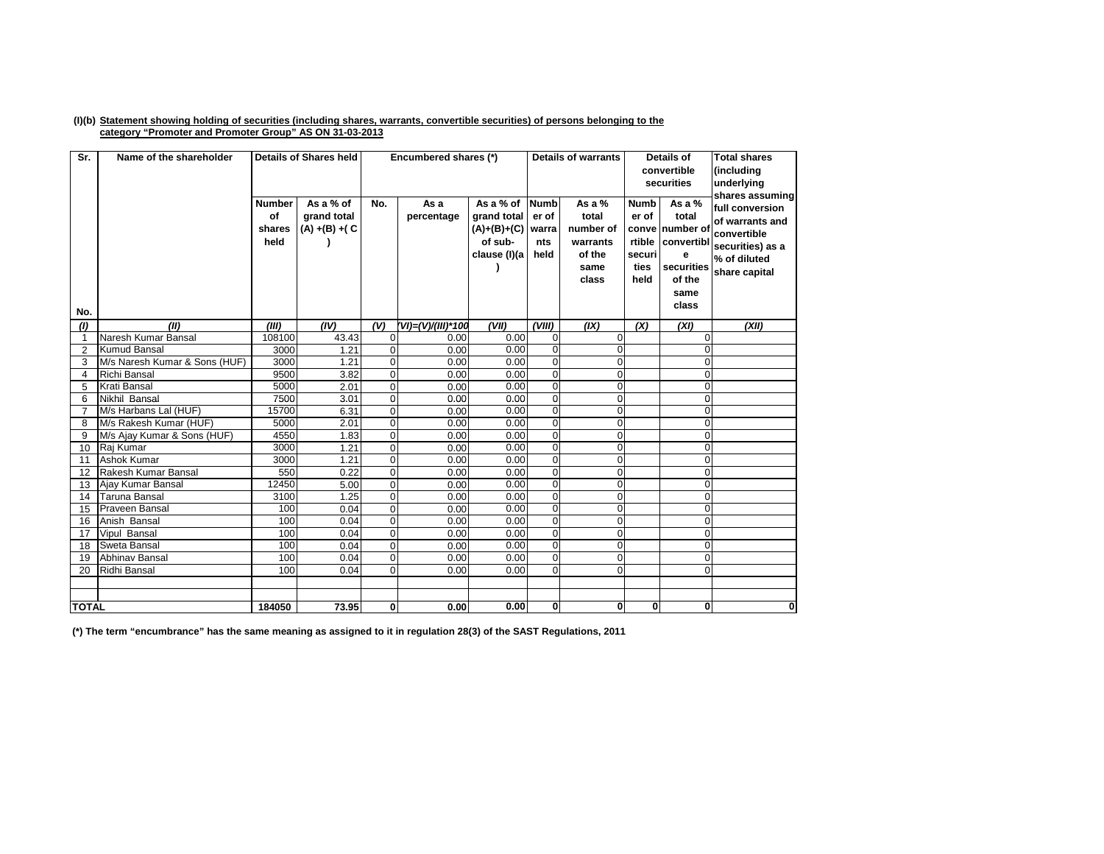## (I)(b) Statement showing holding of securities (including shares, warrants, convertible securities) of persons belonging to the **category "Promoter and Promoter Group" AS ON 31-03-2013**

| Sr.            | Name of the shareholder       |                                       | <b>Details of Shares held</b>                 |                | Encumbered shares (*) |                                                                      |                                              | <b>Details of warrants</b>                                            | <b>Details of</b><br>convertible<br>securities                    |                                                                                            | <b>Total shares</b><br>(including<br>underlying<br>shares assuming                                     |
|----------------|-------------------------------|---------------------------------------|-----------------------------------------------|----------------|-----------------------|----------------------------------------------------------------------|----------------------------------------------|-----------------------------------------------------------------------|-------------------------------------------------------------------|--------------------------------------------------------------------------------------------|--------------------------------------------------------------------------------------------------------|
| No.            |                               | <b>Number</b><br>of<br>shares<br>held | As a % of<br>grand total<br>$(A) + (B) + (C)$ | No.            | As a<br>percentage    | As a % of<br>grand total<br>$(A)+(B)+(C)$<br>of sub-<br>clause (I)(a | <b>Numb</b><br>er of<br>warra<br>nts<br>held | As a $%$<br>total<br>number of<br>warrants<br>of the<br>same<br>class | <b>Numb</b><br>er of<br>conve<br>rtible<br>securi<br>ties<br>held | As a $%$<br>total<br>number of<br>convertibl<br>e<br>securities<br>of the<br>same<br>class | full conversion<br>of warrants and<br>convertible<br>securities) as a<br>% of diluted<br>share capital |
| (1)            | (II)                          | (III)                                 | (IV)                                          | (V)            | (VI)=(V)/(III)*100    | (VII)                                                                | (VIII)                                       | (IX)                                                                  | (X)                                                               | (XI)                                                                                       | (XII)                                                                                                  |
| $\mathbf{1}$   | Naresh Kumar Bansal           | 108100                                | 43.43                                         | 0              | 0.00                  | 0.00                                                                 | $\mathbf{O}$                                 | $\mathbf 0$                                                           |                                                                   | $\Omega$                                                                                   |                                                                                                        |
| $\overline{2}$ | <b>Kumud Bansal</b>           | 3000                                  | 1.21                                          | $\overline{0}$ | 0.00                  | 0.00                                                                 | $\mathbf{0}$                                 | $\overline{0}$                                                        |                                                                   | $\Omega$                                                                                   |                                                                                                        |
| 3              | M/s Naresh Kumar & Sons (HUF) | 3000                                  | 1.21                                          | $\overline{0}$ | 0.00                  | 0.00                                                                 | $\Omega$                                     | $\overline{0}$                                                        |                                                                   | $\Omega$                                                                                   |                                                                                                        |
| $\overline{4}$ | <b>Richi Bansal</b>           | 9500                                  | 3.82                                          | $\overline{0}$ | 0.00                  | 0.00                                                                 | $\overline{0}$                               | Ō                                                                     |                                                                   | $\Omega$                                                                                   |                                                                                                        |
| 5              | Krati Bansal                  | 5000                                  | 2.01                                          | $\overline{0}$ | 0.00                  | 0.00                                                                 | $\overline{0}$                               | $\overline{0}$                                                        |                                                                   | $\Omega$                                                                                   |                                                                                                        |
| 6              | Nikhil Bansal                 | 7500                                  | 3.01                                          | $\mathbf 0$    | 0.00                  | 0.00                                                                 | $\mathbf 0$                                  | 0                                                                     |                                                                   | $\Omega$                                                                                   |                                                                                                        |
| $\overline{7}$ | M/s Harbans Lal (HUF)         | 15700                                 | 6.31                                          | $\overline{0}$ | 0.00                  | 0.00                                                                 | $\mathbf{0}$                                 | $\mathbf 0$                                                           |                                                                   | $\Omega$                                                                                   |                                                                                                        |
| 8              | M/s Rakesh Kumar (HUF)        | 5000                                  | 2.01                                          | $\overline{0}$ | 0.00                  | 0.00                                                                 | $\Omega$                                     | $\mathbf 0$                                                           |                                                                   | $\Omega$                                                                                   |                                                                                                        |
| 9              | M/s Ajay Kumar & Sons (HUF)   | 4550                                  | 1.83                                          | $\overline{0}$ | 0.00                  | 0.00                                                                 | $\mathbf{0}$                                 | $\mathbf 0$                                                           |                                                                   | $\mathbf 0$                                                                                |                                                                                                        |
| 10             | Raj Kumar                     | 3000                                  | 1.21                                          | $\overline{0}$ | 0.00                  | 0.00                                                                 | $\Omega$                                     | $\mathbf 0$                                                           |                                                                   | $\Omega$                                                                                   |                                                                                                        |
| 11             | Ashok Kumar                   | 3000                                  | 1.21                                          | $\overline{0}$ | 0.00                  | 0.00                                                                 | $\mathbf{0}$                                 | $\mathbf 0$                                                           |                                                                   | $\mathbf{O}$                                                                               |                                                                                                        |
| 12             | Rakesh Kumar Bansal           | 550                                   | 0.22                                          | $\Omega$       | 0.00                  | 0.00                                                                 | $\Omega$                                     | $\mathbf 0$                                                           |                                                                   | $\Omega$                                                                                   |                                                                                                        |
| 13             | Ajay Kumar Bansal             | 12450                                 | 5.00                                          | $\overline{0}$ | 0.00                  | 0.00                                                                 | $\mathbf{0}$                                 | $\mathbf 0$                                                           |                                                                   | $\mathbf{O}$                                                                               |                                                                                                        |
| 14             | <b>Taruna Bansal</b>          | 3100                                  | 1.25                                          | $\overline{0}$ | 0.00                  | 0.00                                                                 | $\mathbf{0}$                                 | $\mathbf 0$                                                           |                                                                   | $\Omega$                                                                                   |                                                                                                        |
| 15             | Praveen Bansal                | 100                                   | 0.04                                          | $\overline{0}$ | 0.00                  | 0.00                                                                 | $\mathbf{0}$                                 | $\overline{0}$                                                        |                                                                   | $\mathbf{O}$                                                                               |                                                                                                        |
| 16             | Anish Bansal                  | 100                                   | 0.04                                          | $\overline{0}$ | 0.00                  | 0.00                                                                 | $\overline{0}$                               | $\overline{0}$                                                        |                                                                   | $\mathbf 0$                                                                                |                                                                                                        |
| 17             | Vipul Bansal                  | 100                                   | 0.04                                          | $\overline{0}$ | 0.00                  | 0.00                                                                 | $\overline{0}$                               | $\overline{0}$                                                        |                                                                   | $\Omega$                                                                                   |                                                                                                        |
| 18             | Sweta Bansal                  | 100                                   | 0.04                                          | $\overline{0}$ | 0.00                  | 0.00                                                                 | $\mathbf{0}$                                 | $\mathbf 0$                                                           |                                                                   | $\mathbf{O}$                                                                               |                                                                                                        |
| 19             | <b>Abhinav Bansal</b>         | 100                                   | 0.04                                          | $\overline{0}$ | 0.00                  | 0.00                                                                 | $\mathbf{0}$                                 | $\mathbf 0$                                                           |                                                                   | $\overline{0}$                                                                             |                                                                                                        |
| 20             | Ridhi Bansal                  | 100                                   | 0.04                                          | $\overline{0}$ | 0.00                  | 0.00                                                                 | $\Omega$                                     | $\overline{0}$                                                        |                                                                   | $\Omega$                                                                                   |                                                                                                        |
|                |                               |                                       |                                               |                |                       |                                                                      |                                              |                                                                       |                                                                   |                                                                                            |                                                                                                        |
|                |                               |                                       |                                               |                |                       |                                                                      |                                              |                                                                       |                                                                   |                                                                                            |                                                                                                        |
| <b>TOTAL</b>   |                               | 184050                                | 73.95                                         | $\mathbf{0}$   | 0.00                  | 0.00                                                                 | $\mathbf{0}$                                 | 0                                                                     | $\mathbf{0}$                                                      | $\mathbf{0}$                                                                               | 0                                                                                                      |

(\*) The term "encumbrance" has the same meaning as assigned to it in regulation 28(3) of the SAST Regulations, 2011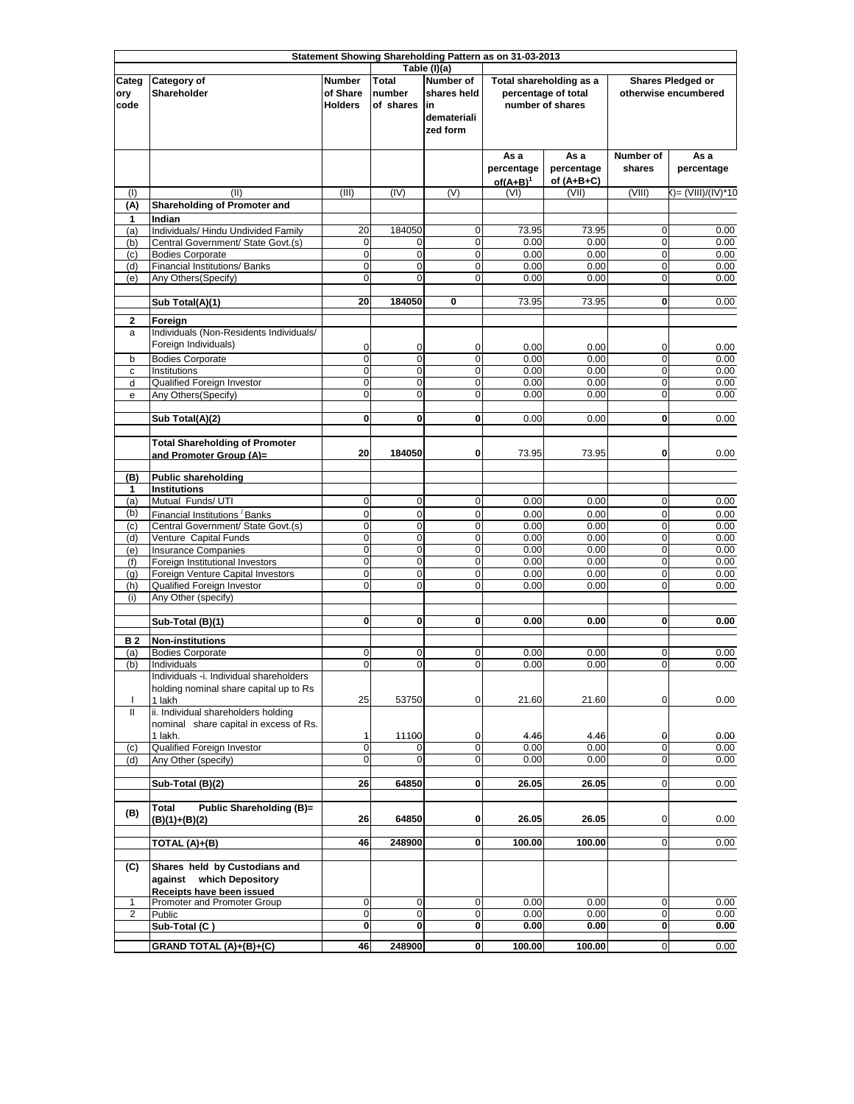|                              | Statement Showing Shareholding Pattern as on 31-03-2013                                |                                             |                                     |                                                                                   |                                   |                                                                    |                            |                                           |
|------------------------------|----------------------------------------------------------------------------------------|---------------------------------------------|-------------------------------------|-----------------------------------------------------------------------------------|-----------------------------------|--------------------------------------------------------------------|----------------------------|-------------------------------------------|
| Categ<br>ory<br>code         | Category of<br>Shareholder                                                             | <b>Number</b><br>of Share<br><b>Holders</b> | <b>Total</b><br>number<br>of shares | Table (I)(a)<br><b>Number of</b><br>shares held<br>lin<br>demateriali<br>zed form |                                   | Total shareholding as a<br>percentage of total<br>number of shares |                            | Shares Pledged or<br>otherwise encumbered |
|                              |                                                                                        |                                             |                                     |                                                                                   | As a<br>percentage<br>$of(A+B)^1$ | As a<br>percentage<br>of $(A+B+C)$                                 | Number of<br>shares        | As a<br>percentage                        |
| (1)<br>(A)                   | (II)<br><b>Shareholding of Promoter and</b>                                            | (III)                                       | (IV)                                | (V)                                                                               | (VI)                              | (VII)                                                              | (VIII)                     | ()= (VIII)/(IV)*10                        |
| 1                            | Indian                                                                                 |                                             |                                     |                                                                                   |                                   |                                                                    |                            |                                           |
| (a)<br>(b)                   | Individuals/ Hindu Undivided Family<br>Central Government/ State Govt.(s)              | 20<br>0                                     | 184050<br>0                         | 0<br>0                                                                            | 73.95<br>0.00                     | 73.95<br>0.00                                                      | 0<br>0                     | 0.00<br>0.00                              |
| (c)                          | <b>Bodies Corporate</b>                                                                | $\mathbf 0$                                 | $\mathbf 0$                         | 0                                                                                 | 0.00                              | 0.00                                                               | $\mathbf 0$                | 0.00                                      |
| (d)<br>(e)                   | Financial Institutions/ Banks<br>Any Others(Specify)                                   | $\overline{0}$<br>0                         | $\mathbf 0$<br>$\mathbf 0$          | $\mathbf 0$<br>$\mathbf 0$                                                        | 0.00<br>0.00                      | 0.00<br>0.00                                                       | $\mathbf 0$<br>$\mathbf 0$ | 0.00<br>0.00                              |
|                              |                                                                                        |                                             |                                     |                                                                                   |                                   |                                                                    |                            |                                           |
|                              | Sub Total(A)(1)                                                                        | 20                                          | 184050                              | 0                                                                                 | 73.95                             | 73.95                                                              | $\mathbf 0$                | 0.00                                      |
| $\mathbf{2}$<br>a            | Foreign<br>Individuals (Non-Residents Individuals/<br>Foreign Individuals)             | 0                                           | 0                                   | 0                                                                                 | 0.00                              | 0.00                                                               | 0                          | 0.00                                      |
| b<br>с                       | <b>Bodies Corporate</b><br>Institutions                                                | 0<br>$\mathbf 0$                            | $\overline{0}$<br>$\mathbf 0$       | $\overline{0}$<br>$\mathbf 0$                                                     | 0.00<br>0.00                      | 0.00<br>0.00                                                       | $\mathbf 0$<br>$\mathbf 0$ | 0.00<br>0.00                              |
| d                            | Qualified Foreign Investor                                                             | $\mathbf 0$                                 | $\mathbf 0$                         | $\mathbf 0$                                                                       | 0.00                              | 0.00                                                               | $\mathbf 0$                | 0.00                                      |
| e                            | Any Others (Specify)                                                                   | $\mathbf 0$                                 | $\mathbf 0$                         | 0                                                                                 | 0.00                              | 0.00                                                               | $\mathbf 0$                | 0.00                                      |
|                              | Sub Total(A)(2)                                                                        | $\mathbf{0}$                                | 0                                   | 0                                                                                 | 0.00                              | 0.00                                                               | 0                          | 0.00                                      |
|                              | <b>Total Shareholding of Promoter</b><br>and Promoter Group (A)=                       | 20                                          | 184050                              | 0                                                                                 | 73.95                             | 73.95                                                              | 0                          | 0.00                                      |
| (B)                          | <b>Public shareholding</b>                                                             |                                             |                                     |                                                                                   |                                   |                                                                    |                            |                                           |
| 1                            | <b>Institutions</b>                                                                    |                                             |                                     |                                                                                   |                                   |                                                                    |                            |                                           |
| (a)                          | Mutual Funds/ UTI                                                                      | $\mathbf 0$                                 | $\mathbf 0$                         | $\mathbf 0$                                                                       | 0.00                              | 0.00                                                               | $\mathbf 0$                | 0.00                                      |
| (b)<br>(c)                   | Financial Institutions Banks<br>Central Government/ State Govt.(s)                     | $\mathbf 0$<br>$\mathbf 0$                  | $\mathbf 0$<br>$\mathbf 0$          | $\mathbf 0$<br>0                                                                  | 0.00<br>0.00                      | 0.00<br>0.00                                                       | $\mathbf 0$<br>$\mathbf 0$ | 0.00<br>0.00                              |
| (d)                          | Venture Capital Funds                                                                  | $\mathbf 0$                                 | $\mathbf 0$                         | $\mathbf 0$                                                                       | 0.00                              | 0.00                                                               | $\mathbf 0$                | 0.00                                      |
| (e)                          | <b>Insurance Companies</b>                                                             | O                                           | $\mathbf 0$                         | $\mathbf 0$                                                                       | 0.00                              | 0.00                                                               | $\mathbf 0$                | 0.00                                      |
| (f)<br>(q)                   | Foreign Institutional Investors<br>Foreign Venture Capital Investors                   | O<br>O                                      | $\pmb{0}$<br>$\overline{0}$         | 0<br>$\mathbf 0$                                                                  | 0.00<br>0.00                      | 0.00<br>0.00                                                       | $\mathbf 0$<br>$\mathbf 0$ | 0.00<br>0.00                              |
| (h)                          | Qualified Foreign Investor                                                             | $\overline{0}$                              | $\mathbf 0$                         | $\mathbf 0$                                                                       | 0.00                              | 0.00                                                               | $\mathbf 0$                | 0.00                                      |
| (i)                          | Any Other (specify)                                                                    |                                             |                                     |                                                                                   |                                   |                                                                    |                            |                                           |
|                              | Sub-Total (B)(1)                                                                       | $\mathbf 0$                                 | 0                                   | 0                                                                                 | 0.00                              | 0.00                                                               | 0                          | 0.00                                      |
| <b>B2</b>                    | <b>Non-institutions</b>                                                                |                                             |                                     |                                                                                   |                                   |                                                                    |                            |                                           |
| (a)                          | <b>Bodies Corporate</b>                                                                | $\mathbf 0$                                 | 0                                   | 0                                                                                 | 0.00                              | 0.00                                                               | 0                          | 0.00                                      |
| (b)                          | Individuals<br>Individuals -i. Individual shareholders                                 | $\overline{0}$                              | 0                                   | 0                                                                                 | 0.00                              | 0.00                                                               | 0                          | 0.00                                      |
|                              | holding nominal share capital up to Rs                                                 |                                             |                                     |                                                                                   |                                   |                                                                    |                            |                                           |
| T<br>Ш                       | 1 lakh<br>ii. Individual shareholders holding                                          | 25                                          | 53750                               | 0                                                                                 | 21.60                             | 21.60                                                              | $\mathbf 0$                | 0.00                                      |
|                              | nominal share capital in excess of Rs.                                                 |                                             |                                     |                                                                                   |                                   |                                                                    |                            |                                           |
|                              | 1 lakh.                                                                                | 1                                           | 11100                               | 0                                                                                 | 4.46                              | 4.46                                                               | 0                          | 0.00                                      |
| (c)<br>(d)                   | <b>Qualified Foreign Investor</b><br>Any Other (specify)                               | $\mathbf 0$<br>0                            | 0                                   | 0<br>0                                                                            | 0.00<br>0.00                      | 0.00<br>0.00                                                       | $\mathbf 0$<br>0           | 0.00<br>0.00                              |
|                              |                                                                                        |                                             |                                     |                                                                                   |                                   |                                                                    |                            |                                           |
|                              | Sub-Total (B)(2)                                                                       | 26                                          | 64850                               | 0                                                                                 | 26.05                             | 26.05                                                              | $\mathbf 0$                | 0.00                                      |
| (B)                          | Public Shareholding (B)=<br><b>Total</b><br>(B)(1)+(B)(2)                              | 26                                          | 64850                               | 0                                                                                 | 26.05                             | 26.05                                                              | 0                          | 0.00                                      |
|                              | TOTAL (A)+(B)                                                                          | 46                                          | 248900                              | 0                                                                                 | 100.00                            | 100.00                                                             | $\overline{0}$             | 0.00                                      |
| (C)                          | Shares held by Custodians and<br>against which Depository<br>Receipts have been issued |                                             |                                     |                                                                                   |                                   |                                                                    |                            |                                           |
| 1<br>$\overline{\mathbf{c}}$ | Promoter and Promoter Group<br>Public                                                  | $\mathbf 0$<br>$\mathbf 0$                  | $\mathbf 0$<br>0                    | 0<br>0                                                                            | 0.00<br>0.00                      | 0.00<br>0.00                                                       | $\mathbf 0$<br>0           | 0.00<br>0.00                              |
|                              | Sub-Total (C)                                                                          | 0                                           | 0                                   | 0                                                                                 | 0.00                              | 0.00                                                               | $\mathbf{0}$               | 0.00                                      |
|                              | GRAND TOTAL (A)+(B)+(C)                                                                | 46                                          | 248900                              | 0                                                                                 | 100.00                            | 100.00                                                             | $\mathbf 0$                | 0.00                                      |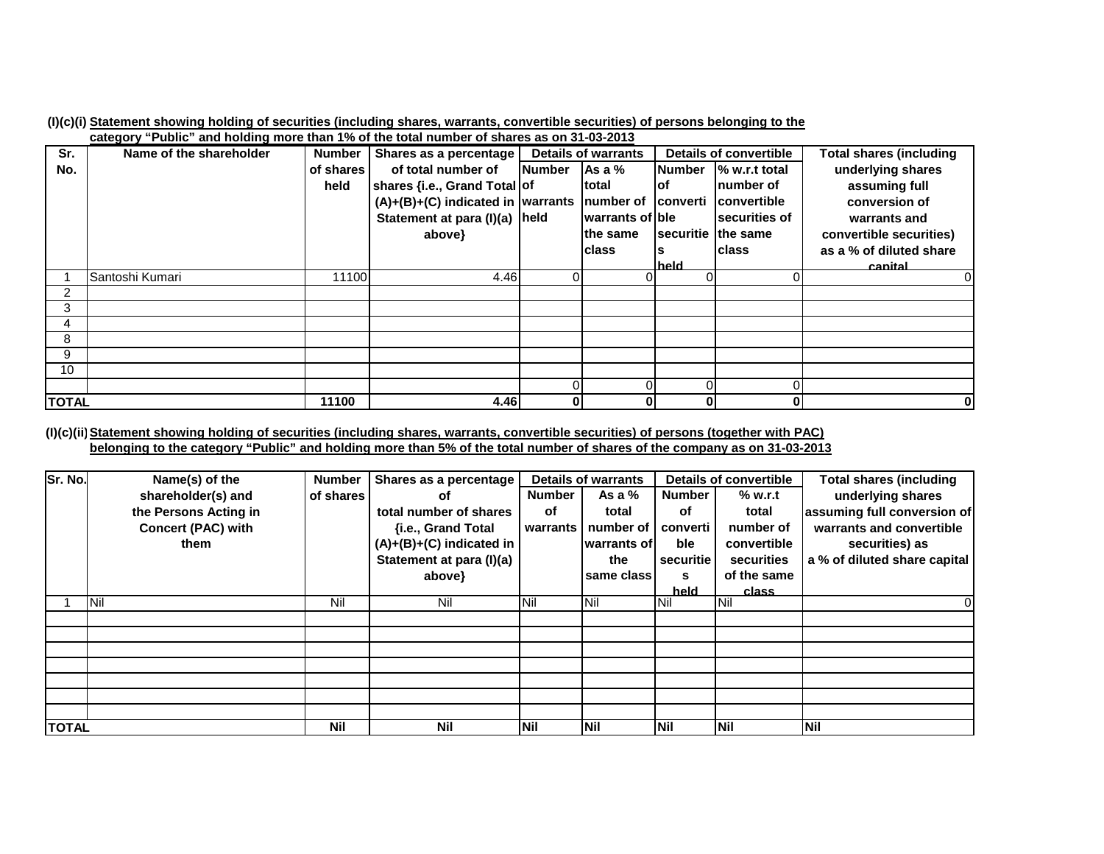|  |  |                                                                                                                     |  |  |  | (I)(c)(i) Statement showing holding of securities (including shares, warrants, convertible securities) of persons belonging to the |
|--|--|---------------------------------------------------------------------------------------------------------------------|--|--|--|------------------------------------------------------------------------------------------------------------------------------------|
|  |  | . A DO OO NO et al. ("Dublished" believe the teath of the test of the teather of a beyond a sound the United States |  |  |  |                                                                                                                                    |

|              | $\overline{\text{c}}$ aregory "Public" and noiging more than 1% of the total number of shares as on 31-03-2013 |               |                                                        |               |                            |                        |                    |                         |
|--------------|----------------------------------------------------------------------------------------------------------------|---------------|--------------------------------------------------------|---------------|----------------------------|------------------------|--------------------|-------------------------|
| Sr.          | Name of the shareholder                                                                                        | <b>Number</b> | Shares as a percentage                                 |               | <b>Details of warrants</b> | Details of convertible |                    | Total shares (including |
| No.          |                                                                                                                | of shares     | of total number of                                     | <b>Number</b> | Asa%                       | <b>Number</b>          | % w.r.t total      | underlying shares       |
|              |                                                                                                                | held          | shares {i.e., Grand Total of                           |               | Itotal                     | lof                    | Inumber of         | assuming full           |
|              |                                                                                                                |               | $(A)+(B)+(C)$ indicated in warrants number of converti |               |                            |                        | <b>Convertible</b> | conversion of           |
|              |                                                                                                                |               | Statement at para (I)(a) held                          |               | warrants of ble            |                        | securities of      | warrants and            |
|              |                                                                                                                |               | above}                                                 |               | lthe same                  |                        | securitie the same | convertible securities) |
|              |                                                                                                                |               |                                                        |               | Iclass                     |                        | <b>Iclass</b>      | as a % of diluted share |
|              |                                                                                                                |               |                                                        |               |                            | held                   |                    | canital                 |
|              | Santoshi Kumari                                                                                                | 11100         | 4.46                                                   | 0             | 0                          |                        |                    |                         |
| 2            |                                                                                                                |               |                                                        |               |                            |                        |                    |                         |
| 3            |                                                                                                                |               |                                                        |               |                            |                        |                    |                         |
| 4            |                                                                                                                |               |                                                        |               |                            |                        |                    |                         |
| 8            |                                                                                                                |               |                                                        |               |                            |                        |                    |                         |
| 9            |                                                                                                                |               |                                                        |               |                            |                        |                    |                         |
| 10           |                                                                                                                |               |                                                        |               |                            |                        |                    |                         |
|              |                                                                                                                |               |                                                        |               | 0                          |                        |                    |                         |
| <b>TOTAL</b> |                                                                                                                | 11100         | 4.46                                                   | $\mathbf{0}$  | 0                          | 01                     | 0                  | $\bf{0}$                |

(I)(c)(ii) <u>Statement showing holding of securities (including shares, warrants, convertible securities) of persons (together with PAC)</u> <u>belonging to the category "Public" and holding more than 5% of the total number of shares of the company as on 31-03-2013</u>

| Sr. No.      | Name(s) of the            | <b>Number</b> | Shares as a percentage     | <b>Details of warrants</b> |             |               | <b>Details of convertible</b> | <b>Total shares (including</b> |
|--------------|---------------------------|---------------|----------------------------|----------------------------|-------------|---------------|-------------------------------|--------------------------------|
|              | shareholder(s) and        | of shares     | οf                         | <b>Number</b>              | As a $%$    | <b>Number</b> | % w.r.t                       | underlying shares              |
|              | the Persons Acting in     |               | total number of shares     | оf                         | total       | оf            | total                         | assuming full conversion of    |
|              | <b>Concert (PAC) with</b> |               | {i.e., Grand Total         | warrants                   | number of   | converti      | number of                     | warrants and convertible       |
|              | them                      |               | $(A)+(B)+(C)$ indicated in |                            | warrants of | ble           | convertible                   | securities) as                 |
|              |                           |               | Statement at para (I)(a)   |                            | the         | securitie     | securities                    | a % of diluted share capital   |
|              |                           |               | above}                     |                            | same class  | s             | of the same                   |                                |
|              |                           |               |                            |                            |             | held          | class                         |                                |
|              | <b>INil</b>               | Nil           | Nil                        | <b>INil</b>                | <b>Nil</b>  | <b>Nil</b>    | <b>Nil</b>                    | 0                              |
|              |                           |               |                            |                            |             |               |                               |                                |
|              |                           |               |                            |                            |             |               |                               |                                |
|              |                           |               |                            |                            |             |               |                               |                                |
|              |                           |               |                            |                            |             |               |                               |                                |
|              |                           |               |                            |                            |             |               |                               |                                |
|              |                           |               |                            |                            |             |               |                               |                                |
|              |                           |               |                            |                            |             |               |                               |                                |
| <b>TOTAL</b> |                           | <b>Nil</b>    | <b>Nil</b>                 | <b>INil</b>                | <b>Nil</b>  | <b>INil</b>   | Nil                           | <b>Nil</b>                     |